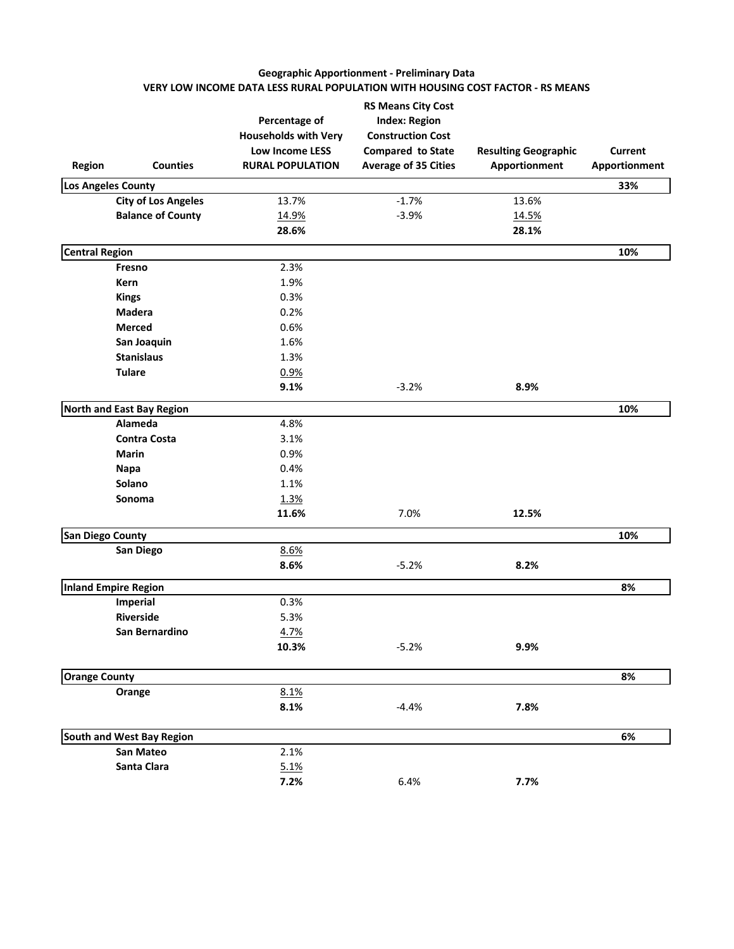# **Geographic Apportionment - Preliminary Data VERY LOW INCOME DATA LESS RURAL POPULATION WITH HOUSING COST FACTOR - RS MEANS**

| Region                  | <b>Counties</b>            | Percentage of<br><b>Households with Very</b><br>Low Income LESS<br><b>RURAL POPULATION</b> | <b>RS Means City Cost</b><br><b>Index: Region</b><br><b>Construction Cost</b><br>Compared to State<br><b>Average of 35 Cities</b> | <b>Resulting Geographic</b><br>Apportionment | Current<br>Apportionment |
|-------------------------|----------------------------|--------------------------------------------------------------------------------------------|-----------------------------------------------------------------------------------------------------------------------------------|----------------------------------------------|--------------------------|
|                         | Los Angeles County         |                                                                                            |                                                                                                                                   |                                              | 33%                      |
|                         | <b>City of Los Angeles</b> | 13.7%                                                                                      | $-1.7%$                                                                                                                           | 13.6%                                        |                          |
|                         | <b>Balance of County</b>   | 14.9%                                                                                      | $-3.9%$                                                                                                                           | 14.5%                                        |                          |
|                         |                            | 28.6%                                                                                      |                                                                                                                                   | 28.1%                                        |                          |
| <b>Central Region</b>   |                            |                                                                                            |                                                                                                                                   |                                              | 10%                      |
|                         | Fresno                     | 2.3%                                                                                       |                                                                                                                                   |                                              |                          |
|                         | Kern                       | 1.9%                                                                                       |                                                                                                                                   |                                              |                          |
|                         | <b>Kings</b>               | 0.3%                                                                                       |                                                                                                                                   |                                              |                          |
|                         | <b>Madera</b>              | 0.2%                                                                                       |                                                                                                                                   |                                              |                          |
|                         | <b>Merced</b>              | 0.6%                                                                                       |                                                                                                                                   |                                              |                          |
|                         | San Joaquin                | 1.6%                                                                                       |                                                                                                                                   |                                              |                          |
|                         | <b>Stanislaus</b>          | 1.3%                                                                                       |                                                                                                                                   |                                              |                          |
|                         | <b>Tulare</b>              | 0.9%                                                                                       |                                                                                                                                   |                                              |                          |
|                         |                            | 9.1%                                                                                       | $-3.2%$                                                                                                                           | 8.9%                                         |                          |
|                         | North and East Bay Region  |                                                                                            |                                                                                                                                   |                                              | 10%                      |
|                         | Alameda                    | 4.8%                                                                                       |                                                                                                                                   |                                              |                          |
|                         | <b>Contra Costa</b>        | 3.1%                                                                                       |                                                                                                                                   |                                              |                          |
|                         | <b>Marin</b>               | 0.9%                                                                                       |                                                                                                                                   |                                              |                          |
|                         | Napa                       | 0.4%                                                                                       |                                                                                                                                   |                                              |                          |
|                         | Solano                     | 1.1%                                                                                       |                                                                                                                                   |                                              |                          |
|                         | <b>Sonoma</b>              | 1.3%                                                                                       |                                                                                                                                   |                                              |                          |
|                         |                            | 11.6%                                                                                      | 7.0%                                                                                                                              | 12.5%                                        |                          |
| <b>San Diego County</b> |                            |                                                                                            |                                                                                                                                   |                                              | 10%                      |
|                         | San Diego                  | 8.6%                                                                                       |                                                                                                                                   |                                              |                          |
|                         |                            | 8.6%                                                                                       | $-5.2%$                                                                                                                           | 8.2%                                         |                          |
|                         | Inland Empire Region       |                                                                                            |                                                                                                                                   |                                              | 8%                       |
|                         | Imperial                   | 0.3%                                                                                       |                                                                                                                                   |                                              |                          |
|                         | <b>Riverside</b>           | 5.3%                                                                                       |                                                                                                                                   |                                              |                          |
|                         | San Bernardino             | 4.7%                                                                                       |                                                                                                                                   |                                              |                          |
|                         |                            | 10.3%                                                                                      | $-5.2%$                                                                                                                           | 9.9%                                         |                          |
| <b>Orange County</b>    |                            |                                                                                            |                                                                                                                                   |                                              | 8%                       |
|                         | Orange                     | 8.1%                                                                                       |                                                                                                                                   |                                              |                          |
|                         |                            | 8.1%                                                                                       | $-4.4%$                                                                                                                           | 7.8%                                         |                          |
|                         |                            |                                                                                            |                                                                                                                                   |                                              |                          |
|                         | South and West Bay Region  |                                                                                            |                                                                                                                                   |                                              | 6%                       |
|                         | San Mateo                  | 2.1%                                                                                       |                                                                                                                                   |                                              |                          |
|                         | Santa Clara                | 5.1%                                                                                       |                                                                                                                                   |                                              |                          |
|                         |                            | 7.2%                                                                                       | 6.4%                                                                                                                              | 7.7%                                         |                          |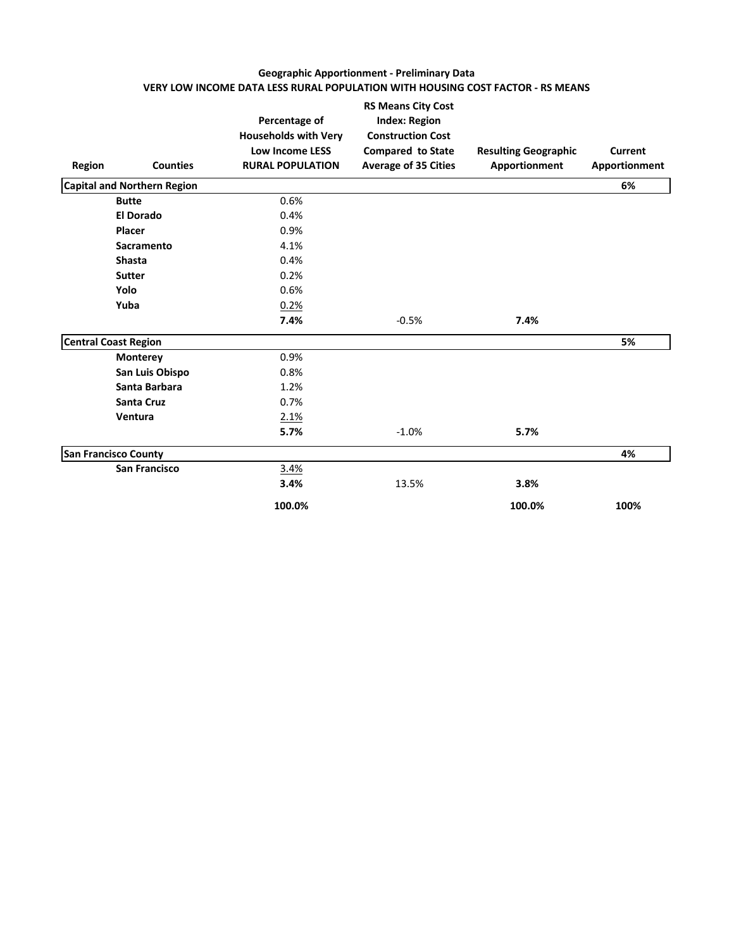# **Geographic Apportionment - Preliminary Data VERY LOW INCOME DATA LESS RURAL POPULATION WITH HOUSING COST FACTOR - RS MEANS**

| <b>Region</b> | <b>Counties</b>                    | Percentage of<br><b>Households with Very</b><br><b>Low Income LESS</b><br><b>RURAL POPULATION</b> | <b>RS Means City Cost</b><br><b>Index: Region</b><br><b>Construction Cost</b><br><b>Compared to State</b><br><b>Average of 35 Cities</b> | <b>Resulting Geographic</b><br>Apportionment | Current<br>Apportionment |
|---------------|------------------------------------|---------------------------------------------------------------------------------------------------|------------------------------------------------------------------------------------------------------------------------------------------|----------------------------------------------|--------------------------|
|               | <b>Capital and Northern Region</b> |                                                                                                   |                                                                                                                                          |                                              | 6%                       |
|               | <b>Butte</b>                       | 0.6%                                                                                              |                                                                                                                                          |                                              |                          |
|               | <b>El Dorado</b>                   | 0.4%                                                                                              |                                                                                                                                          |                                              |                          |
|               | Placer                             | 0.9%                                                                                              |                                                                                                                                          |                                              |                          |
|               | Sacramento                         | 4.1%                                                                                              |                                                                                                                                          |                                              |                          |
|               | <b>Shasta</b>                      | 0.4%                                                                                              |                                                                                                                                          |                                              |                          |
|               | <b>Sutter</b>                      | 0.2%                                                                                              |                                                                                                                                          |                                              |                          |
|               | Yolo                               | 0.6%                                                                                              |                                                                                                                                          |                                              |                          |
|               | Yuba                               | 0.2%                                                                                              |                                                                                                                                          |                                              |                          |
|               |                                    | 7.4%                                                                                              | $-0.5%$                                                                                                                                  | 7.4%                                         |                          |
|               | <b>Central Coast Region</b>        |                                                                                                   |                                                                                                                                          |                                              | 5%                       |
|               | <b>Monterey</b>                    | 0.9%                                                                                              |                                                                                                                                          |                                              |                          |
|               | San Luis Obispo                    | 0.8%                                                                                              |                                                                                                                                          |                                              |                          |
|               | Santa Barbara                      | 1.2%                                                                                              |                                                                                                                                          |                                              |                          |
|               | <b>Santa Cruz</b>                  | 0.7%                                                                                              |                                                                                                                                          |                                              |                          |
|               | Ventura                            | 2.1%                                                                                              |                                                                                                                                          |                                              |                          |
|               |                                    | 5.7%                                                                                              | $-1.0%$                                                                                                                                  | 5.7%                                         |                          |
|               | <b>San Francisco County</b>        |                                                                                                   |                                                                                                                                          |                                              | 4%                       |
|               | <b>San Francisco</b>               | 3.4%                                                                                              |                                                                                                                                          |                                              |                          |
|               |                                    | 3.4%                                                                                              | 13.5%                                                                                                                                    | 3.8%                                         |                          |
|               |                                    | 100.0%                                                                                            |                                                                                                                                          | 100.0%                                       | 100%                     |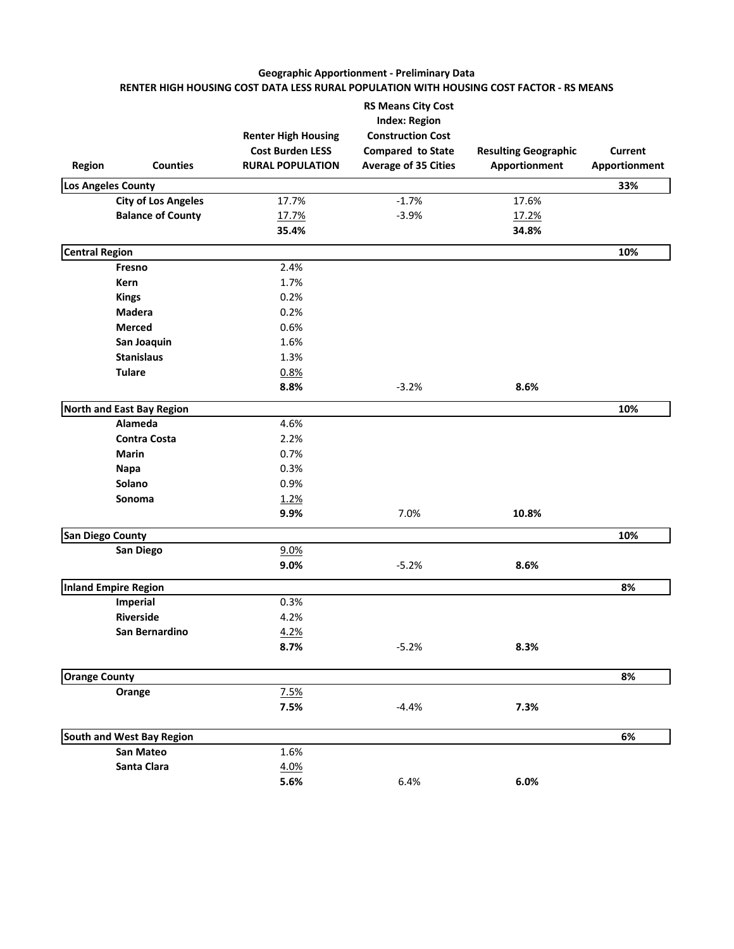# **Geographic Apportionment - Preliminary Data RENTER HIGH HOUSING COST DATA LESS RURAL POPULATION WITH HOUSING COST FACTOR - RS MEANS**

| <b>Region</b>           | <b>Counties</b>            | <b>Renter High Housing</b><br><b>Cost Burden LESS</b><br><b>RURAL POPULATION</b> | <b>RS Means City Cost</b><br><b>Index: Region</b><br><b>Construction Cost</b><br>Compared to State<br><b>Average of 35 Cities</b> | <b>Resulting Geographic</b><br>Apportionment | Current<br>Apportionment |
|-------------------------|----------------------------|----------------------------------------------------------------------------------|-----------------------------------------------------------------------------------------------------------------------------------|----------------------------------------------|--------------------------|
|                         | Los Angeles County         |                                                                                  |                                                                                                                                   |                                              | 33%                      |
|                         | <b>City of Los Angeles</b> | 17.7%                                                                            | $-1.7%$                                                                                                                           | 17.6%                                        |                          |
|                         | <b>Balance of County</b>   | 17.7%                                                                            | $-3.9%$                                                                                                                           | 17.2%                                        |                          |
|                         |                            | 35.4%                                                                            |                                                                                                                                   | 34.8%                                        |                          |
| <b>Central Region</b>   |                            |                                                                                  |                                                                                                                                   |                                              | 10%                      |
|                         | Fresno                     | 2.4%                                                                             |                                                                                                                                   |                                              |                          |
|                         | Kern                       | 1.7%                                                                             |                                                                                                                                   |                                              |                          |
|                         | <b>Kings</b>               | 0.2%                                                                             |                                                                                                                                   |                                              |                          |
|                         | <b>Madera</b>              | 0.2%                                                                             |                                                                                                                                   |                                              |                          |
|                         | <b>Merced</b>              | 0.6%                                                                             |                                                                                                                                   |                                              |                          |
|                         | San Joaquin                | 1.6%                                                                             |                                                                                                                                   |                                              |                          |
|                         | <b>Stanislaus</b>          | 1.3%                                                                             |                                                                                                                                   |                                              |                          |
|                         | <b>Tulare</b>              | 0.8%                                                                             |                                                                                                                                   |                                              |                          |
|                         |                            | 8.8%                                                                             | $-3.2%$                                                                                                                           | 8.6%                                         |                          |
|                         | North and East Bay Region  |                                                                                  |                                                                                                                                   |                                              | 10%                      |
|                         | Alameda                    | 4.6%                                                                             |                                                                                                                                   |                                              |                          |
|                         | <b>Contra Costa</b>        | 2.2%                                                                             |                                                                                                                                   |                                              |                          |
|                         | <b>Marin</b>               | 0.7%                                                                             |                                                                                                                                   |                                              |                          |
|                         | Napa                       | 0.3%                                                                             |                                                                                                                                   |                                              |                          |
|                         | Solano                     | 0.9%                                                                             |                                                                                                                                   |                                              |                          |
|                         | Sonoma                     | 1.2%                                                                             |                                                                                                                                   |                                              |                          |
|                         |                            | 9.9%                                                                             | 7.0%                                                                                                                              | 10.8%                                        |                          |
| <b>San Diego County</b> |                            |                                                                                  |                                                                                                                                   |                                              | 10%                      |
|                         | San Diego                  | 9.0%                                                                             |                                                                                                                                   |                                              |                          |
|                         |                            | 9.0%                                                                             | $-5.2%$                                                                                                                           | 8.6%                                         |                          |
|                         | Inland Empire Region       |                                                                                  |                                                                                                                                   |                                              | 8%                       |
|                         | Imperial                   | 0.3%                                                                             |                                                                                                                                   |                                              |                          |
|                         | <b>Riverside</b>           | 4.2%                                                                             |                                                                                                                                   |                                              |                          |
|                         | San Bernardino             | 4.2%                                                                             |                                                                                                                                   |                                              |                          |
|                         |                            | 8.7%                                                                             | $-5.2%$                                                                                                                           | 8.3%                                         |                          |
| <b>Orange County</b>    |                            |                                                                                  |                                                                                                                                   |                                              | 8%                       |
|                         | Orange                     | 7.5%                                                                             |                                                                                                                                   |                                              |                          |
|                         |                            | 7.5%                                                                             | $-4.4%$                                                                                                                           | 7.3%                                         |                          |
|                         |                            |                                                                                  |                                                                                                                                   |                                              |                          |
|                         | South and West Bay Region  |                                                                                  |                                                                                                                                   |                                              | 6%                       |
|                         | San Mateo                  | 1.6%                                                                             |                                                                                                                                   |                                              |                          |
|                         | Santa Clara                | 4.0%                                                                             |                                                                                                                                   |                                              |                          |
|                         |                            | 5.6%                                                                             | 6.4%                                                                                                                              | 6.0%                                         |                          |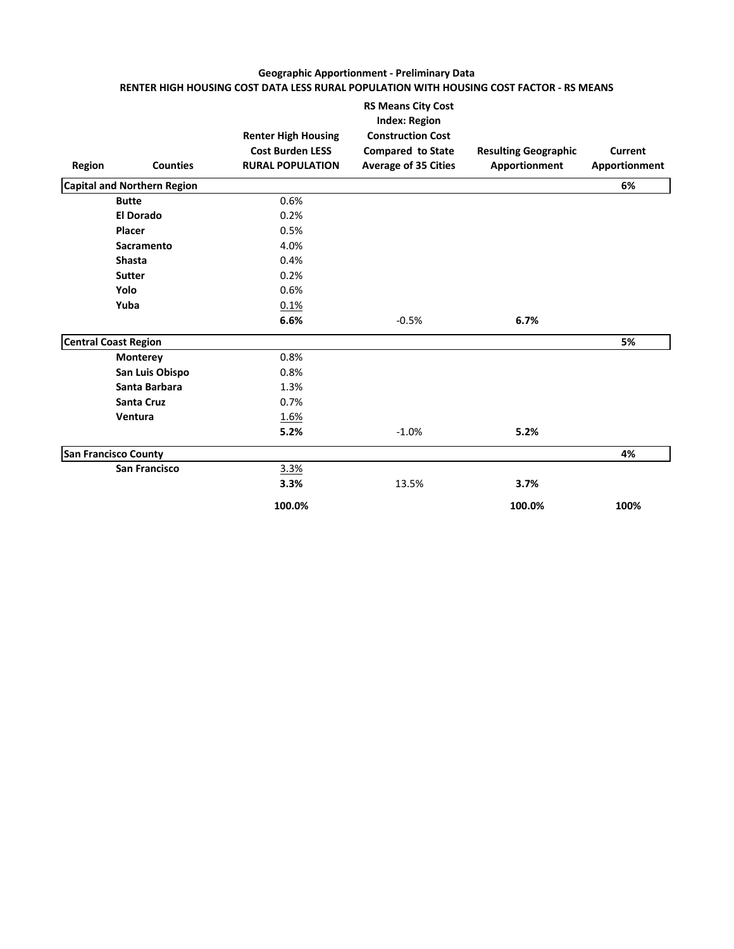# **Geographic Apportionment - Preliminary Data RENTER HIGH HOUSING COST DATA LESS RURAL POPULATION WITH HOUSING COST FACTOR - RS MEANS**

| Region | <b>Counties</b>                    | <b>Renter High Housing</b><br><b>Cost Burden LESS</b><br><b>RURAL POPULATION</b> | <b>RS Means City Cost</b><br><b>Index: Region</b><br><b>Construction Cost</b><br><b>Compared to State</b><br><b>Average of 35 Cities</b> | <b>Resulting Geographic</b><br>Apportionment | <b>Current</b><br>Apportionment |
|--------|------------------------------------|----------------------------------------------------------------------------------|------------------------------------------------------------------------------------------------------------------------------------------|----------------------------------------------|---------------------------------|
|        | <b>Capital and Northern Region</b> |                                                                                  |                                                                                                                                          |                                              | 6%                              |
|        | <b>Butte</b>                       | 0.6%                                                                             |                                                                                                                                          |                                              |                                 |
|        | <b>El Dorado</b>                   | 0.2%                                                                             |                                                                                                                                          |                                              |                                 |
|        | Placer                             | 0.5%                                                                             |                                                                                                                                          |                                              |                                 |
|        | Sacramento                         | 4.0%                                                                             |                                                                                                                                          |                                              |                                 |
|        | <b>Shasta</b>                      | 0.4%                                                                             |                                                                                                                                          |                                              |                                 |
|        | <b>Sutter</b>                      | 0.2%                                                                             |                                                                                                                                          |                                              |                                 |
|        | Yolo                               | 0.6%                                                                             |                                                                                                                                          |                                              |                                 |
|        | Yuba                               | 0.1%                                                                             |                                                                                                                                          |                                              |                                 |
|        |                                    | 6.6%                                                                             | $-0.5%$                                                                                                                                  | 6.7%                                         |                                 |
|        | <b>Central Coast Region</b>        |                                                                                  |                                                                                                                                          |                                              | 5%                              |
|        | <b>Monterey</b>                    | 0.8%                                                                             |                                                                                                                                          |                                              |                                 |
|        | San Luis Obispo                    | 0.8%                                                                             |                                                                                                                                          |                                              |                                 |
|        | Santa Barbara                      | 1.3%                                                                             |                                                                                                                                          |                                              |                                 |
|        | <b>Santa Cruz</b>                  | 0.7%                                                                             |                                                                                                                                          |                                              |                                 |
|        | Ventura                            | 1.6%                                                                             |                                                                                                                                          |                                              |                                 |
|        |                                    | 5.2%                                                                             | $-1.0%$                                                                                                                                  | 5.2%                                         |                                 |
|        | <b>San Francisco County</b>        |                                                                                  |                                                                                                                                          |                                              | 4%                              |
|        | <b>San Francisco</b>               | 3.3%                                                                             |                                                                                                                                          |                                              |                                 |
|        |                                    | 3.3%                                                                             | 13.5%                                                                                                                                    | 3.7%                                         |                                 |
|        |                                    | 100.0%                                                                           |                                                                                                                                          | 100.0%                                       | 100%                            |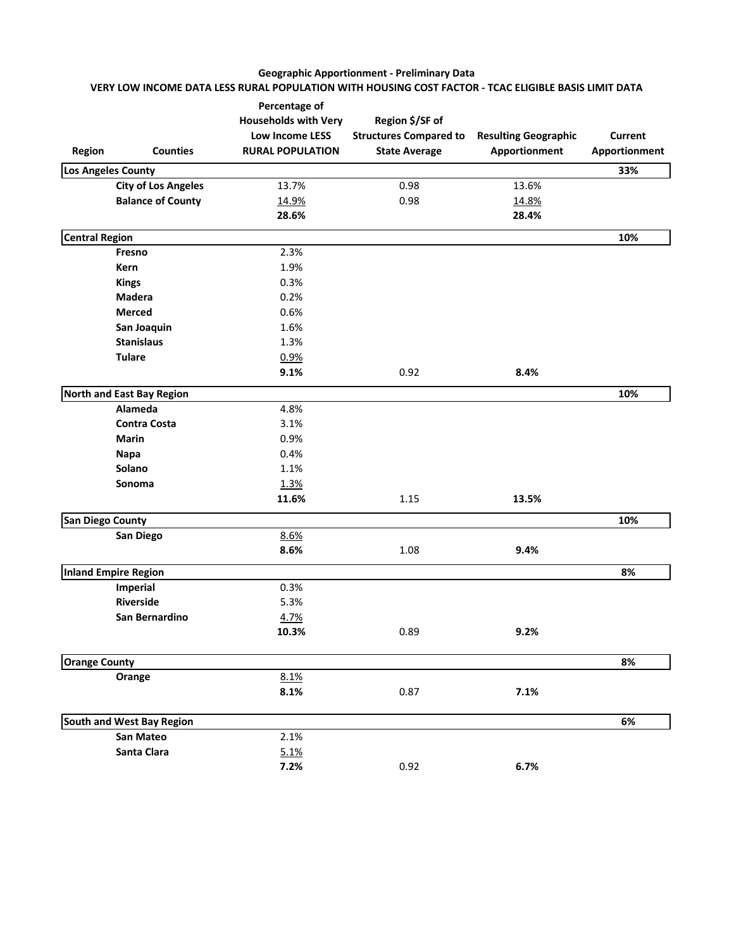# **Geographic Apportionment - Preliminary Data VERY LOW INCOME DATA LESS RURAL POPULATION WITH HOUSING COST FACTOR - TCAC ELIGIBLE BASIS LIMIT DATA**

| Region                  | <b>Counties</b>            | Percentage of<br><b>Households with Very</b><br><b>Low Income LESS</b><br><b>RURAL POPULATION</b> | Region \$/SF of<br><b>Structures Compared to</b><br><b>State Average</b> | <b>Resulting Geographic</b><br>Apportionment | <b>Current</b><br>Apportionment |
|-------------------------|----------------------------|---------------------------------------------------------------------------------------------------|--------------------------------------------------------------------------|----------------------------------------------|---------------------------------|
| Los Angeles County      |                            |                                                                                                   |                                                                          |                                              | 33%                             |
|                         | <b>City of Los Angeles</b> | 13.7%                                                                                             | 0.98                                                                     | 13.6%                                        |                                 |
|                         | <b>Balance of County</b>   | 14.9%                                                                                             | 0.98                                                                     | 14.8%                                        |                                 |
|                         |                            | 28.6%                                                                                             |                                                                          | 28.4%                                        |                                 |
| <b>Central Region</b>   |                            |                                                                                                   |                                                                          |                                              | 10%                             |
|                         | Fresno                     | 2.3%                                                                                              |                                                                          |                                              |                                 |
|                         | Kern                       | 1.9%                                                                                              |                                                                          |                                              |                                 |
|                         | <b>Kings</b>               | 0.3%                                                                                              |                                                                          |                                              |                                 |
|                         | Madera                     | 0.2%                                                                                              |                                                                          |                                              |                                 |
|                         | <b>Merced</b>              | 0.6%                                                                                              |                                                                          |                                              |                                 |
|                         | San Joaquin                | 1.6%                                                                                              |                                                                          |                                              |                                 |
|                         | <b>Stanislaus</b>          | 1.3%                                                                                              |                                                                          |                                              |                                 |
|                         | <b>Tulare</b>              | 0.9%                                                                                              |                                                                          |                                              |                                 |
|                         |                            | 9.1%                                                                                              | 0.92                                                                     | 8.4%                                         |                                 |
|                         | North and East Bay Region  |                                                                                                   |                                                                          |                                              | 10%                             |
|                         | Alameda                    | 4.8%                                                                                              |                                                                          |                                              |                                 |
|                         | <b>Contra Costa</b>        | 3.1%                                                                                              |                                                                          |                                              |                                 |
|                         | <b>Marin</b>               | 0.9%                                                                                              |                                                                          |                                              |                                 |
|                         | <b>Napa</b>                | 0.4%                                                                                              |                                                                          |                                              |                                 |
|                         | Solano                     | 1.1%                                                                                              |                                                                          |                                              |                                 |
|                         | Sonoma                     | 1.3%                                                                                              |                                                                          |                                              |                                 |
|                         |                            | 11.6%                                                                                             | 1.15                                                                     | 13.5%                                        |                                 |
| <b>San Diego County</b> |                            |                                                                                                   |                                                                          |                                              | 10%                             |
|                         | San Diego                  | 8.6%                                                                                              |                                                                          |                                              |                                 |
|                         |                            | 8.6%                                                                                              | 1.08                                                                     | 9.4%                                         |                                 |
|                         | Inland Empire Region       |                                                                                                   |                                                                          |                                              | 8%                              |
|                         | Imperial                   | 0.3%                                                                                              |                                                                          |                                              |                                 |
|                         | Riverside                  | 5.3%                                                                                              |                                                                          |                                              |                                 |
|                         | San Bernardino             | 4.7%                                                                                              |                                                                          |                                              |                                 |
|                         |                            | 10.3%                                                                                             | 0.89                                                                     | 9.2%                                         |                                 |
| <b>Orange County</b>    |                            |                                                                                                   |                                                                          |                                              | 8%                              |
|                         | Orange                     | 8.1%                                                                                              |                                                                          |                                              |                                 |
|                         |                            | 8.1%                                                                                              | 0.87                                                                     | 7.1%                                         |                                 |
|                         | South and West Bay Region  |                                                                                                   |                                                                          |                                              | 6%                              |
|                         | San Mateo                  | 2.1%                                                                                              |                                                                          |                                              |                                 |
|                         | Santa Clara                | 5.1%                                                                                              |                                                                          |                                              |                                 |
|                         |                            | 7.2%                                                                                              | 0.92                                                                     | 6.7%                                         |                                 |
|                         |                            |                                                                                                   |                                                                          |                                              |                                 |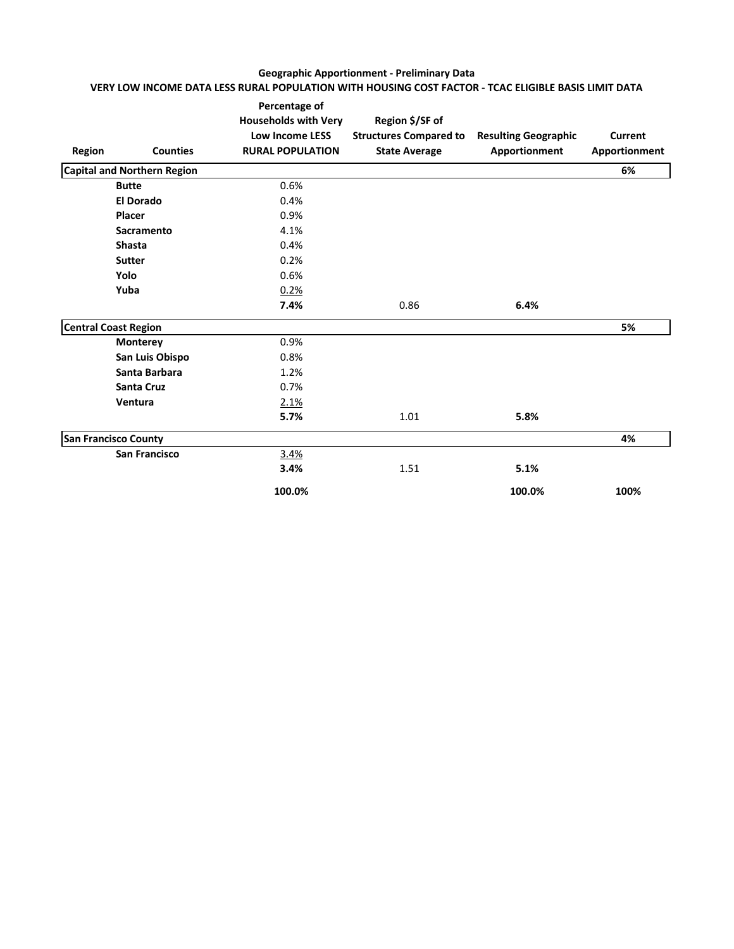# **Geographic Apportionment - Preliminary Data VERY LOW INCOME DATA LESS RURAL POPULATION WITH HOUSING COST FACTOR - TCAC ELIGIBLE BASIS LIMIT DATA**

| Region | <b>Counties</b>                    | Percentage of<br><b>Households with Very</b><br><b>Low Income LESS</b><br><b>RURAL POPULATION</b> | Region \$/SF of<br><b>Structures Compared to</b><br><b>State Average</b> | <b>Resulting Geographic</b><br>Apportionment | Current<br>Apportionment |
|--------|------------------------------------|---------------------------------------------------------------------------------------------------|--------------------------------------------------------------------------|----------------------------------------------|--------------------------|
|        | <b>Capital and Northern Region</b> |                                                                                                   |                                                                          |                                              | 6%                       |
|        | <b>Butte</b>                       | 0.6%                                                                                              |                                                                          |                                              |                          |
|        | <b>El Dorado</b>                   | 0.4%                                                                                              |                                                                          |                                              |                          |
|        | Placer                             | 0.9%                                                                                              |                                                                          |                                              |                          |
|        | Sacramento                         | 4.1%                                                                                              |                                                                          |                                              |                          |
|        | <b>Shasta</b>                      | 0.4%                                                                                              |                                                                          |                                              |                          |
|        | <b>Sutter</b>                      | 0.2%                                                                                              |                                                                          |                                              |                          |
|        | Yolo                               | 0.6%                                                                                              |                                                                          |                                              |                          |
|        | Yuba                               | 0.2%                                                                                              |                                                                          |                                              |                          |
|        |                                    | 7.4%                                                                                              | 0.86                                                                     | 6.4%                                         |                          |
|        | <b>Central Coast Region</b>        |                                                                                                   |                                                                          |                                              | 5%                       |
|        | Monterey                           | 0.9%                                                                                              |                                                                          |                                              |                          |
|        | San Luis Obispo                    | 0.8%                                                                                              |                                                                          |                                              |                          |
|        | Santa Barbara                      | 1.2%                                                                                              |                                                                          |                                              |                          |
|        | <b>Santa Cruz</b>                  | 0.7%                                                                                              |                                                                          |                                              |                          |
|        | Ventura                            | 2.1%                                                                                              |                                                                          |                                              |                          |
|        |                                    | 5.7%                                                                                              | 1.01                                                                     | 5.8%                                         |                          |
|        | <b>San Francisco County</b>        |                                                                                                   |                                                                          |                                              | 4%                       |
|        | <b>San Francisco</b>               | 3.4%                                                                                              |                                                                          |                                              |                          |
|        |                                    | 3.4%                                                                                              | 1.51                                                                     | 5.1%                                         |                          |
|        |                                    | 100.0%                                                                                            |                                                                          | 100.0%                                       | 100%                     |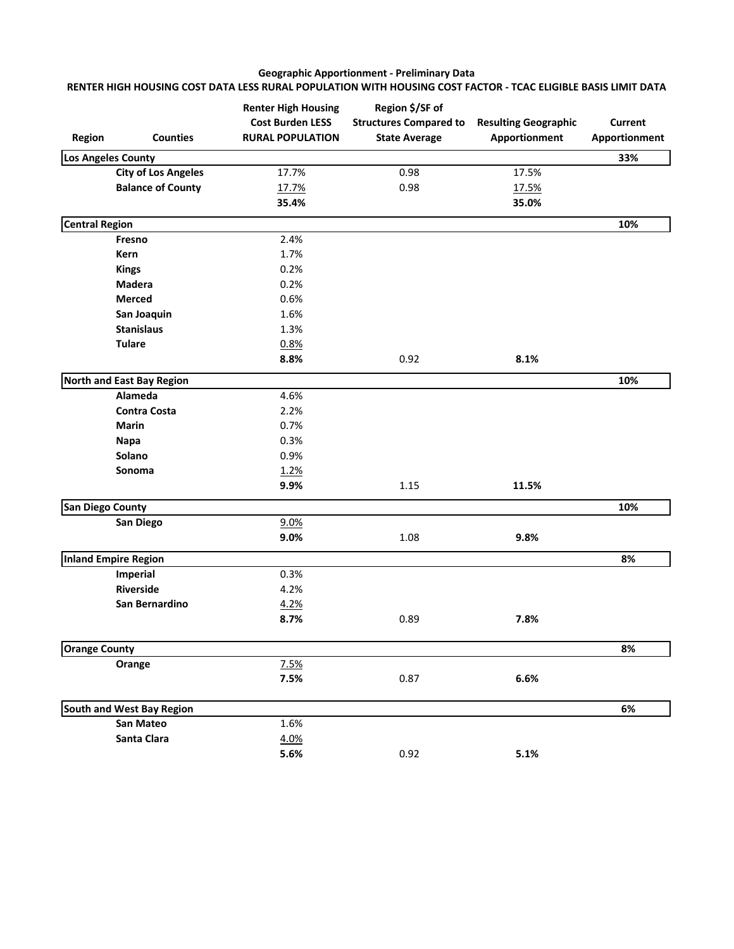#### **Geographic Apportionment - Preliminary Data RENTER HIGH HOUSING COST DATA LESS RURAL POPULATION WITH HOUSING COST FACTOR - TCAC ELIGIBLE BASIS LIMIT DATA**

| <b>Region</b>           | <b>Counties</b>            | <b>Renter High Housing</b><br><b>Cost Burden LESS</b><br><b>RURAL POPULATION</b> | Region \$/SF of<br><b>Structures Compared to</b><br><b>State Average</b> | <b>Resulting Geographic</b><br>Apportionment | <b>Current</b><br>Apportionment |
|-------------------------|----------------------------|----------------------------------------------------------------------------------|--------------------------------------------------------------------------|----------------------------------------------|---------------------------------|
| Los Angeles County      |                            |                                                                                  |                                                                          |                                              | 33%                             |
|                         | <b>City of Los Angeles</b> | 17.7%                                                                            | 0.98                                                                     | 17.5%                                        |                                 |
|                         | <b>Balance of County</b>   | 17.7%                                                                            | 0.98                                                                     | 17.5%                                        |                                 |
|                         |                            | 35.4%                                                                            |                                                                          | 35.0%                                        |                                 |
| <b>Central Region</b>   |                            |                                                                                  |                                                                          |                                              | 10%                             |
|                         | Fresno                     | 2.4%                                                                             |                                                                          |                                              |                                 |
|                         | Kern                       | 1.7%                                                                             |                                                                          |                                              |                                 |
|                         | <b>Kings</b>               | 0.2%                                                                             |                                                                          |                                              |                                 |
|                         | Madera                     | 0.2%                                                                             |                                                                          |                                              |                                 |
|                         | <b>Merced</b>              | 0.6%                                                                             |                                                                          |                                              |                                 |
|                         | San Joaquin                | 1.6%                                                                             |                                                                          |                                              |                                 |
|                         | <b>Stanislaus</b>          | 1.3%                                                                             |                                                                          |                                              |                                 |
|                         | <b>Tulare</b>              | 0.8%                                                                             |                                                                          |                                              |                                 |
|                         |                            | 8.8%                                                                             | 0.92                                                                     | 8.1%                                         |                                 |
|                         | North and East Bay Region  |                                                                                  |                                                                          |                                              | 10%                             |
|                         | Alameda                    | 4.6%                                                                             |                                                                          |                                              |                                 |
|                         | <b>Contra Costa</b>        | 2.2%                                                                             |                                                                          |                                              |                                 |
|                         | Marin                      | 0.7%                                                                             |                                                                          |                                              |                                 |
|                         | <b>Napa</b>                | 0.3%                                                                             |                                                                          |                                              |                                 |
|                         | Solano                     | 0.9%                                                                             |                                                                          |                                              |                                 |
|                         | Sonoma                     | 1.2%                                                                             |                                                                          |                                              |                                 |
|                         |                            | 9.9%                                                                             | 1.15                                                                     | 11.5%                                        |                                 |
| <b>San Diego County</b> |                            |                                                                                  |                                                                          |                                              | 10%                             |
|                         | San Diego                  | 9.0%                                                                             |                                                                          |                                              |                                 |
|                         |                            | 9.0%                                                                             | 1.08                                                                     | 9.8%                                         |                                 |
|                         | Inland Empire Region       |                                                                                  |                                                                          |                                              | 8%                              |
|                         | Imperial                   | 0.3%                                                                             |                                                                          |                                              |                                 |
|                         | Riverside                  | 4.2%                                                                             |                                                                          |                                              |                                 |
|                         | San Bernardino             | 4.2%                                                                             |                                                                          |                                              |                                 |
|                         |                            | 8.7%                                                                             | 0.89                                                                     | 7.8%                                         |                                 |
| <b>Orange County</b>    |                            |                                                                                  |                                                                          |                                              | 8%                              |
|                         | Orange                     | 7.5%                                                                             |                                                                          |                                              |                                 |
|                         |                            | 7.5%                                                                             | 0.87                                                                     | 6.6%                                         |                                 |
|                         |                            |                                                                                  |                                                                          |                                              |                                 |
|                         | South and West Bay Region  |                                                                                  |                                                                          |                                              | 6%                              |
|                         | San Mateo                  | 1.6%                                                                             |                                                                          |                                              |                                 |
|                         | Santa Clara                | 4.0%                                                                             |                                                                          |                                              |                                 |
|                         |                            | 5.6%                                                                             | 0.92                                                                     | 5.1%                                         |                                 |